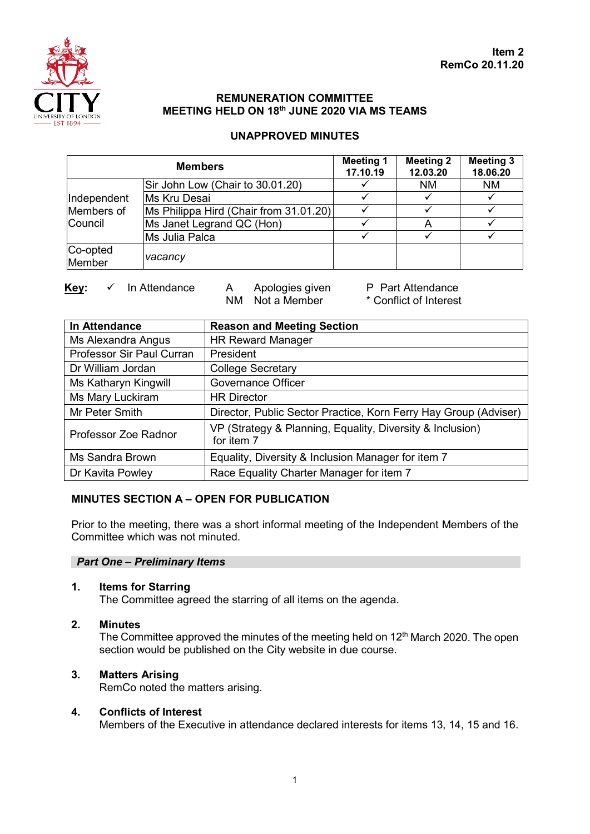

# **REMUNERATION COMMITTEE MEETING HELD ON 18th JUNE 2020 VIA MS TEAMS**

# **UNAPPROVED MINUTES**

| <b>Members</b>                              |                                        | <b>Meeting 1</b><br>17.10.19 | <b>Meeting 2</b><br>12.03.20 | <b>Meeting 3</b><br>18.06.20 |
|---------------------------------------------|----------------------------------------|------------------------------|------------------------------|------------------------------|
| Independent<br>Members of<br><b>Council</b> | Sir John Low (Chair to 30.01.20)       |                              | <b>NM</b>                    | <b>NM</b>                    |
|                                             | <b>Ms Kru Desai</b>                    |                              |                              |                              |
|                                             | Ms Philippa Hird (Chair from 31.01.20) |                              |                              |                              |
|                                             | Ms Janet Legrand QC (Hon)              |                              |                              |                              |
|                                             | Ms Julia Palca                         |                              |                              |                              |
| Co-opted                                    |                                        |                              |                              |                              |
| Member                                      | vacancy                                |                              |                              |                              |

 $NM$  Not a Member

**Key:** ✓ In Attendance A Apologies given P Part Attendance<br>NM Not a Member \* Conflict of Interest

| In Attendance             | <b>Reason and Meeting Section</b>                                       |  |  |
|---------------------------|-------------------------------------------------------------------------|--|--|
| Ms Alexandra Angus        | <b>HR Reward Manager</b>                                                |  |  |
| Professor Sir Paul Curran | President                                                               |  |  |
| Dr William Jordan         | <b>College Secretary</b>                                                |  |  |
| Ms Katharyn Kingwill      | <b>Governance Officer</b>                                               |  |  |
| Ms Mary Luckiram          | <b>HR Director</b>                                                      |  |  |
| Mr Peter Smith            | Director, Public Sector Practice, Korn Ferry Hay Group (Adviser)        |  |  |
| Professor Zoe Radnor      | VP (Strategy & Planning, Equality, Diversity & Inclusion)<br>for item 7 |  |  |
| Ms Sandra Brown           | Equality, Diversity & Inclusion Manager for item 7                      |  |  |
| Dr Kavita Powley          | Race Equality Charter Manager for item 7                                |  |  |

# **MINUTES SECTION A – OPEN FOR PUBLICATION**

Prior to the meeting, there was a short informal meeting of the Independent Members of the Committee which was not minuted.

## *Part One – Preliminary Items*

**1. Items for Starring**

The Committee agreed the starring of all items on the agenda.

**2. Minutes**

The Committee approved the minutes of the meeting held on  $12<sup>th</sup>$  March 2020. The open section would be published on the City website in due course.

## **3. Matters Arising**

RemCo noted the matters arising.

## **4. Conflicts of Interest**

Members of the Executive in attendance declared interests for items 13, 14, 15 and 16.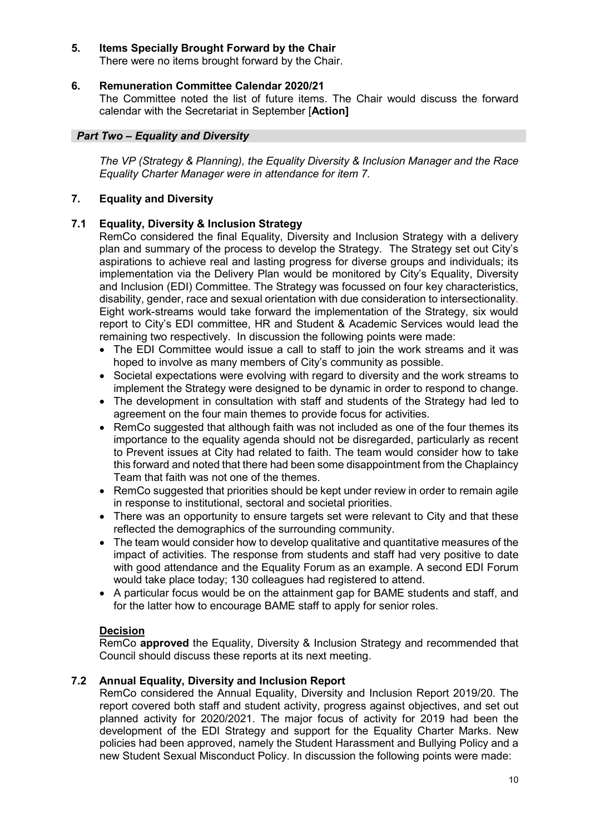## **5. Items Specially Brought Forward by the Chair**

There were no items brought forward by the Chair.

## **6. Remuneration Committee Calendar 2020/21**

The Committee noted the list of future items. The Chair would discuss the forward calendar with the Secretariat in September [**Action]**

## *Part Two – Equality and Diversity*

*The VP (Strategy & Planning), the Equality Diversity & Inclusion Manager and the Race Equality Charter Manager were in attendance for item 7.* 

## **7. Equality and Diversity**

## **7.1 Equality, Diversity & Inclusion Strategy**

RemCo considered the final Equality, Diversity and Inclusion Strategy with a delivery plan and summary of the process to develop the Strategy. The Strategy set out City's aspirations to achieve real and lasting progress for diverse groups and individuals; its implementation via the Delivery Plan would be monitored by City's Equality, Diversity and Inclusion (EDI) Committee. The Strategy was focussed on four key characteristics, disability, gender, race and sexual orientation with due consideration to intersectionality. Eight work-streams would take forward the implementation of the Strategy, six would report to City's EDI committee, HR and Student & Academic Services would lead the remaining two respectively. In discussion the following points were made:

- The EDI Committee would issue a call to staff to join the work streams and it was hoped to involve as many members of City's community as possible.
- Societal expectations were evolving with regard to diversity and the work streams to implement the Strategy were designed to be dynamic in order to respond to change.
- The development in consultation with staff and students of the Strategy had led to agreement on the four main themes to provide focus for activities.
- RemCo suggested that although faith was not included as one of the four themes its importance to the equality agenda should not be disregarded, particularly as recent to Prevent issues at City had related to faith. The team would consider how to take this forward and noted that there had been some disappointment from the Chaplaincy Team that faith was not one of the themes.
- RemCo suggested that priorities should be kept under review in order to remain agile in response to institutional, sectoral and societal priorities.
- There was an opportunity to ensure targets set were relevant to City and that these reflected the demographics of the surrounding community.
- The team would consider how to develop qualitative and quantitative measures of the impact of activities. The response from students and staff had very positive to date with good attendance and the Equality Forum as an example. A second EDI Forum would take place today; 130 colleagues had registered to attend.
- A particular focus would be on the attainment gap for BAME students and staff, and for the latter how to encourage BAME staff to apply for senior roles.

## **Decision**

RemCo **approved** the Equality, Diversity & Inclusion Strategy and recommended that Council should discuss these reports at its next meeting.

## **7.2 Annual Equality, Diversity and Inclusion Report**

RemCo considered the Annual Equality, Diversity and Inclusion Report 2019/20. The report covered both staff and student activity, progress against objectives, and set out planned activity for 2020/2021. The major focus of activity for 2019 had been the development of the EDI Strategy and support for the Equality Charter Marks. New policies had been approved, namely the Student Harassment and Bullying Policy and a new Student Sexual Misconduct Policy. In discussion the following points were made: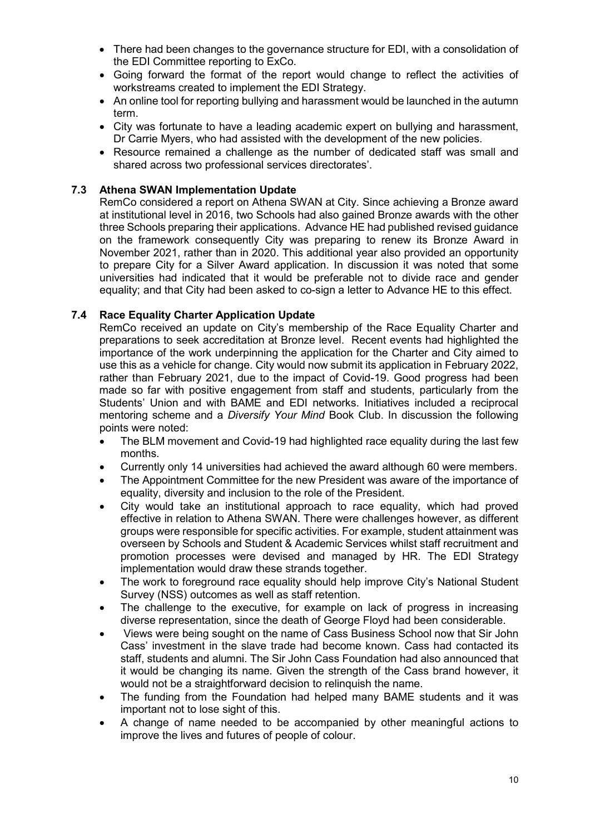- There had been changes to the governance structure for EDI, with a consolidation of the EDI Committee reporting to ExCo.
- Going forward the format of the report would change to reflect the activities of workstreams created to implement the EDI Strategy.
- An online tool for reporting bullying and harassment would be launched in the autumn term.
- City was fortunate to have a leading academic expert on bullying and harassment, Dr Carrie Myers, who had assisted with the development of the new policies.
- Resource remained a challenge as the number of dedicated staff was small and shared across two professional services directorates'.

## **7.3 Athena SWAN Implementation Update**

RemCo considered a report on Athena SWAN at City. Since achieving a Bronze award at institutional level in 2016, two Schools had also gained Bronze awards with the other three Schools preparing their applications. Advance HE had published revised guidance on the framework consequently City was preparing to renew its Bronze Award in November 2021, rather than in 2020. This additional year also provided an opportunity to prepare City for a Silver Award application. In discussion it was noted that some universities had indicated that it would be preferable not to divide race and gender equality; and that City had been asked to co-sign a letter to Advance HE to this effect.

## **7.4 Race Equality Charter Application Update**

RemCo received an update on City's membership of the Race Equality Charter and preparations to seek accreditation at Bronze level. Recent events had highlighted the importance of the work underpinning the application for the Charter and City aimed to use this as a vehicle for change. City would now submit its application in February 2022, rather than February 2021, due to the impact of Covid-19. Good progress had been made so far with positive engagement from staff and students, particularly from the Students' Union and with BAME and EDI networks. Initiatives included a reciprocal mentoring scheme and a *Diversify Your Mind* Book Club. In discussion the following points were noted:

- The BLM movement and Covid-19 had highlighted race equality during the last few months.
- Currently only 14 universities had achieved the award although 60 were members.
- The Appointment Committee for the new President was aware of the importance of equality, diversity and inclusion to the role of the President.
- City would take an institutional approach to race equality, which had proved effective in relation to Athena SWAN. There were challenges however, as different groups were responsible for specific activities. For example, student attainment was overseen by Schools and Student & Academic Services whilst staff recruitment and promotion processes were devised and managed by HR. The EDI Strategy implementation would draw these strands together.
- The work to foreground race equality should help improve City's National Student Survey (NSS) outcomes as well as staff retention.
- The challenge to the executive, for example on lack of progress in increasing diverse representation, since the death of George Floyd had been considerable.
- Views were being sought on the name of Cass Business School now that Sir John Cass' investment in the slave trade had become known. Cass had contacted its staff, students and alumni. The Sir John Cass Foundation had also announced that it would be changing its name. Given the strength of the Cass brand however, it would not be a straightforward decision to relinquish the name.
- The funding from the Foundation had helped many BAME students and it was important not to lose sight of this.
- A change of name needed to be accompanied by other meaningful actions to improve the lives and futures of people of colour.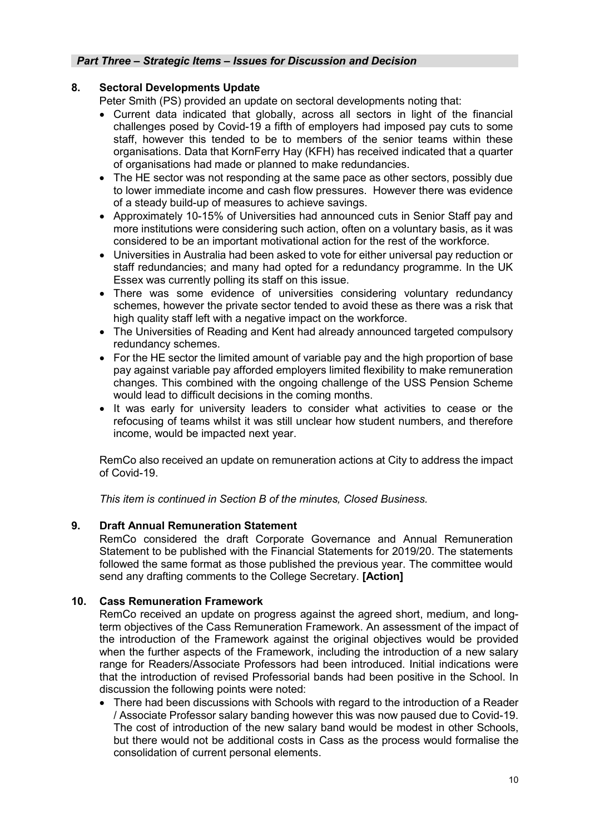#### *Part Three – Strategic Items – Issues for Discussion and Decision*

## **8. Sectoral Developments Update**

Peter Smith (PS) provided an update on sectoral developments noting that:

- Current data indicated that globally, across all sectors in light of the financial challenges posed by Covid-19 a fifth of employers had imposed pay cuts to some staff, however this tended to be to members of the senior teams within these organisations. Data that KornFerry Hay (KFH) has received indicated that a quarter of organisations had made or planned to make redundancies.
- The HE sector was not responding at the same pace as other sectors, possibly due to lower immediate income and cash flow pressures. However there was evidence of a steady build-up of measures to achieve savings.
- Approximately 10-15% of Universities had announced cuts in Senior Staff pay and more institutions were considering such action, often on a voluntary basis, as it was considered to be an important motivational action for the rest of the workforce.
- Universities in Australia had been asked to vote for either universal pay reduction or staff redundancies; and many had opted for a redundancy programme. In the UK Essex was currently polling its staff on this issue.
- There was some evidence of universities considering voluntary redundancy schemes, however the private sector tended to avoid these as there was a risk that high quality staff left with a negative impact on the workforce.
- The Universities of Reading and Kent had already announced targeted compulsory redundancy schemes.
- For the HE sector the limited amount of variable pay and the high proportion of base pay against variable pay afforded employers limited flexibility to make remuneration changes. This combined with the ongoing challenge of the USS Pension Scheme would lead to difficult decisions in the coming months.
- It was early for university leaders to consider what activities to cease or the refocusing of teams whilst it was still unclear how student numbers, and therefore income, would be impacted next year.

RemCo also received an update on remuneration actions at City to address the impact of Covid-19.

*This item is continued in Section B of the minutes, Closed Business.*

## **9. Draft Annual Remuneration Statement**

RemCo considered the draft Corporate Governance and Annual Remuneration Statement to be published with the Financial Statements for 2019/20. The statements followed the same format as those published the previous year. The committee would send any drafting comments to the College Secretary. **[Action]**

## **10. Cass Remuneration Framework**

RemCo received an update on progress against the agreed short, medium, and longterm objectives of the Cass Remuneration Framework. An assessment of the impact of the introduction of the Framework against the original objectives would be provided when the further aspects of the Framework, including the introduction of a new salary range for Readers/Associate Professors had been introduced. Initial indications were that the introduction of revised Professorial bands had been positive in the School. In discussion the following points were noted:

• There had been discussions with Schools with regard to the introduction of a Reader / Associate Professor salary banding however this was now paused due to Covid-19. The cost of introduction of the new salary band would be modest in other Schools, but there would not be additional costs in Cass as the process would formalise the consolidation of current personal elements.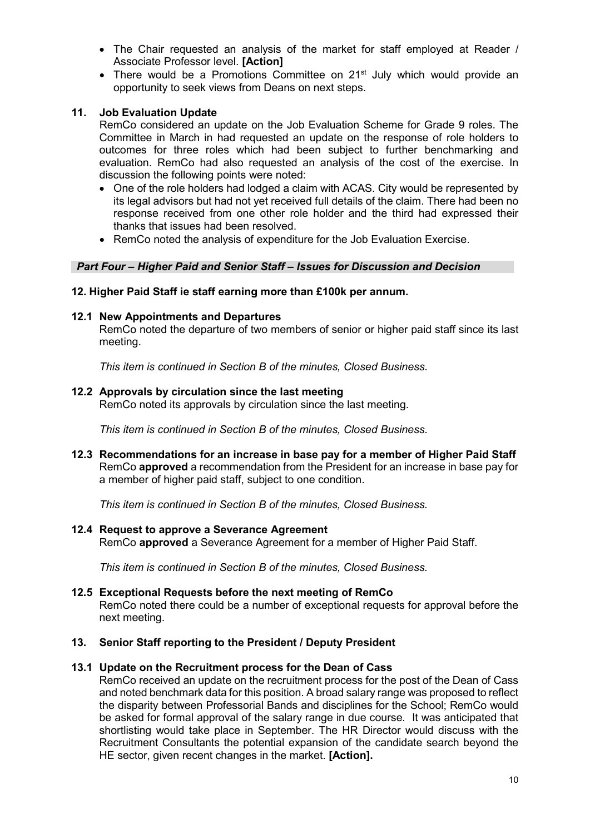- The Chair requested an analysis of the market for staff employed at Reader / Associate Professor level. **[Action]**
- There would be a Promotions Committee on 21<sup>st</sup> July which would provide an opportunity to seek views from Deans on next steps.

## **11. Job Evaluation Update**

RemCo considered an update on the Job Evaluation Scheme for Grade 9 roles. The Committee in March in had requested an update on the response of role holders to outcomes for three roles which had been subject to further benchmarking and evaluation. RemCo had also requested an analysis of the cost of the exercise. In discussion the following points were noted:

- One of the role holders had lodged a claim with ACAS. City would be represented by its legal advisors but had not yet received full details of the claim. There had been no response received from one other role holder and the third had expressed their thanks that issues had been resolved.
- RemCo noted the analysis of expenditure for the Job Evaluation Exercise.

## *Part Four – Higher Paid and Senior Staff – Issues for Discussion and Decision*

### **12. Higher Paid Staff ie staff earning more than £100k per annum.**

### **12.1 New Appointments and Departures**

RemCo noted the departure of two members of senior or higher paid staff since its last meeting.

*This item is continued in Section B of the minutes, Closed Business.* 

### **12.2 Approvals by circulation since the last meeting**

RemCo noted its approvals by circulation since the last meeting.

*This item is continued in Section B of the minutes, Closed Business.*

**12.3 Recommendations for an increase in base pay for a member of Higher Paid Staff** RemCo **approved** a recommendation from the President for an increase in base pay for a member of higher paid staff, subject to one condition.

*This item is continued in Section B of the minutes, Closed Business.*

**12.4 Request to approve a Severance Agreement** RemCo **approved** a Severance Agreement for a member of Higher Paid Staff.

*This item is continued in Section B of the minutes, Closed Business.*

#### **12.5 Exceptional Requests before the next meeting of RemCo**

RemCo noted there could be a number of exceptional requests for approval before the next meeting.

#### **13. Senior Staff reporting to the President / Deputy President**

#### **13.1 Update on the Recruitment process for the Dean of Cass**

RemCo received an update on the recruitment process for the post of the Dean of Cass and noted benchmark data for this position. A broad salary range was proposed to reflect the disparity between Professorial Bands and disciplines for the School; RemCo would be asked for formal approval of the salary range in due course. It was anticipated that shortlisting would take place in September. The HR Director would discuss with the Recruitment Consultants the potential expansion of the candidate search beyond the HE sector, given recent changes in the market. **[Action].**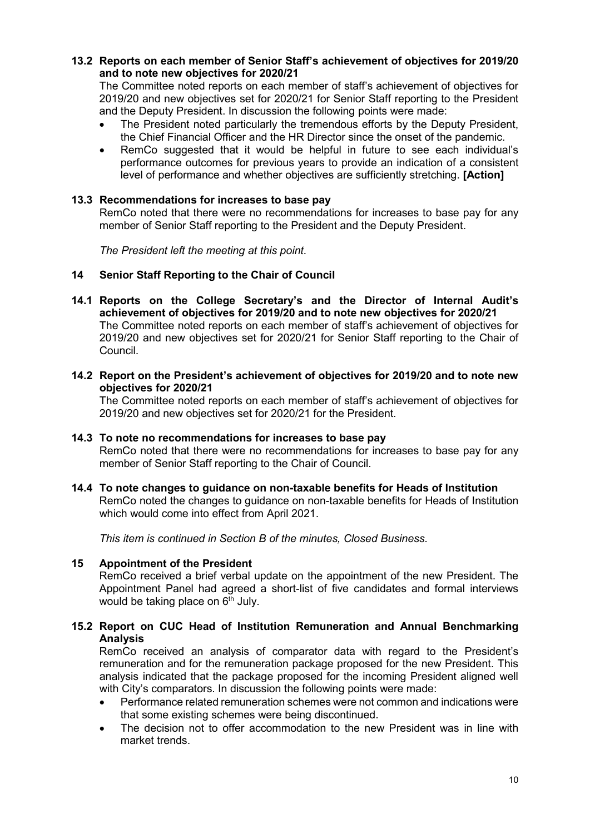## **13.2 Reports on each member of Senior Staff's achievement of objectives for 2019/20 and to note new objectives for 2020/21**

The Committee noted reports on each member of staff's achievement of objectives for 2019/20 and new objectives set for 2020/21 for Senior Staff reporting to the President and the Deputy President. In discussion the following points were made:

- The President noted particularly the tremendous efforts by the Deputy President, the Chief Financial Officer and the HR Director since the onset of the pandemic.
- RemCo suggested that it would be helpful in future to see each individual's performance outcomes for previous years to provide an indication of a consistent level of performance and whether objectives are sufficiently stretching. **[Action]**

### **13.3 Recommendations for increases to base pay**

RemCo noted that there were no recommendations for increases to base pay for any member of Senior Staff reporting to the President and the Deputy President.

*The President left the meeting at this point.*

#### **14 Senior Staff Reporting to the Chair of Council**

- **14.1 Reports on the College Secretary's and the Director of Internal Audit's achievement of objectives for 2019/20 and to note new objectives for 2020/21** The Committee noted reports on each member of staff's achievement of objectives for 2019/20 and new objectives set for 2020/21 for Senior Staff reporting to the Chair of Council.
- **14.2 Report on the President's achievement of objectives for 2019/20 and to note new objectives for 2020/21**

The Committee noted reports on each member of staff's achievement of objectives for 2019/20 and new objectives set for 2020/21 for the President.

#### **14.3 To note no recommendations for increases to base pay**

RemCo noted that there were no recommendations for increases to base pay for any member of Senior Staff reporting to the Chair of Council.

#### **14.4 To note changes to guidance on non-taxable benefits for Heads of Institution** RemCo noted the changes to guidance on non-taxable benefits for Heads of Institution which would come into effect from April 2021.

*This item is continued in Section B of the minutes, Closed Business.*

#### **15 Appointment of the President**

RemCo received a brief verbal update on the appointment of the new President. The Appointment Panel had agreed a short-list of five candidates and formal interviews would be taking place on  $6<sup>th</sup>$  July.

## **15.2 Report on CUC Head of Institution Remuneration and Annual Benchmarking Analysis**

RemCo received an analysis of comparator data with regard to the President's remuneration and for the remuneration package proposed for the new President. This analysis indicated that the package proposed for the incoming President aligned well with City's comparators. In discussion the following points were made:

- Performance related remuneration schemes were not common and indications were that some existing schemes were being discontinued.
- The decision not to offer accommodation to the new President was in line with market trends.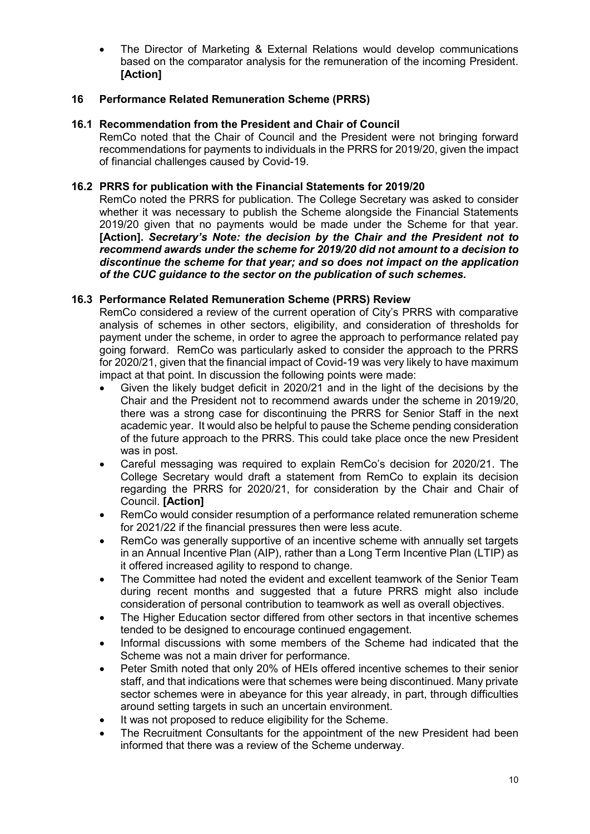• The Director of Marketing & External Relations would develop communications based on the comparator analysis for the remuneration of the incoming President. **[Action]**

## **16 Performance Related Remuneration Scheme (PRRS)**

## **16.1 Recommendation from the President and Chair of Council**

RemCo noted that the Chair of Council and the President were not bringing forward recommendations for payments to individuals in the PRRS for 2019/20, given the impact of financial challenges caused by Covid-19.

## **16.2 PRRS for publication with the Financial Statements for 2019/20**

RemCo noted the PRRS for publication. The College Secretary was asked to consider whether it was necessary to publish the Scheme alongside the Financial Statements 2019/20 given that no payments would be made under the Scheme for that year. **[Action].** *Secretary's Note: the decision by the Chair and the President not to recommend awards under the scheme for 2019/20 did not amount to a decision to discontinue the scheme for that year; and so does not impact on the application of the CUC guidance to the sector on the publication of such schemes.*

# **16.3 Performance Related Remuneration Scheme (PRRS) Review**

RemCo considered a review of the current operation of City's PRRS with comparative analysis of schemes in other sectors, eligibility, and consideration of thresholds for payment under the scheme, in order to agree the approach to performance related pay going forward. RemCo was particularly asked to consider the approach to the PRRS for 2020/21, given that the financial impact of Covid-19 was very likely to have maximum impact at that point. In discussion the following points were made:

- Given the likely budget deficit in 2020/21 and in the light of the decisions by the Chair and the President not to recommend awards under the scheme in 2019/20, there was a strong case for discontinuing the PRRS for Senior Staff in the next academic year. It would also be helpful to pause the Scheme pending consideration of the future approach to the PRRS. This could take place once the new President was in post.
- Careful messaging was required to explain RemCo's decision for 2020/21. The College Secretary would draft a statement from RemCo to explain its decision regarding the PRRS for 2020/21, for consideration by the Chair and Chair of Council. **[Action]**
- RemCo would consider resumption of a performance related remuneration scheme for 2021/22 if the financial pressures then were less acute.
- RemCo was generally supportive of an incentive scheme with annually set targets in an Annual Incentive Plan (AIP), rather than a Long Term Incentive Plan (LTIP) as it offered increased agility to respond to change.
- The Committee had noted the evident and excellent teamwork of the Senior Team during recent months and suggested that a future PRRS might also include consideration of personal contribution to teamwork as well as overall objectives.
- The Higher Education sector differed from other sectors in that incentive schemes tended to be designed to encourage continued engagement.
- Informal discussions with some members of the Scheme had indicated that the Scheme was not a main driver for performance.
- Peter Smith noted that only 20% of HEIs offered incentive schemes to their senior staff, and that indications were that schemes were being discontinued. Many private sector schemes were in abeyance for this year already, in part, through difficulties around setting targets in such an uncertain environment.
- It was not proposed to reduce eligibility for the Scheme.
- The Recruitment Consultants for the appointment of the new President had been informed that there was a review of the Scheme underway.